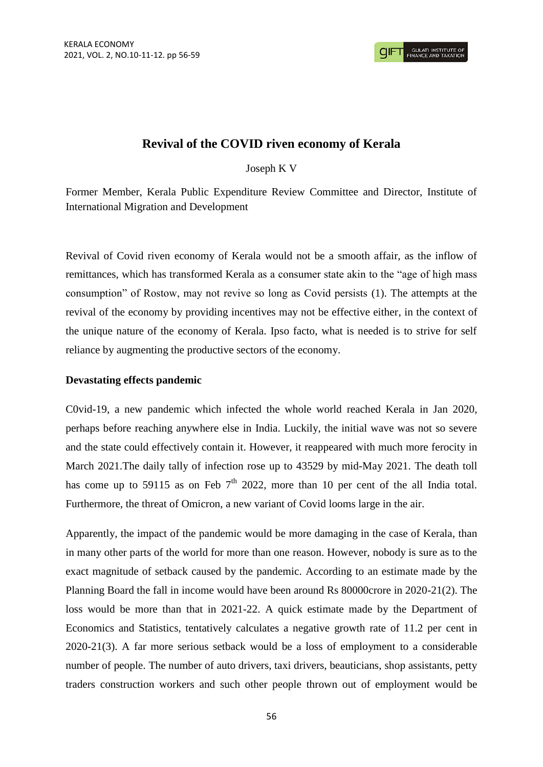# **Revival of the COVID riven economy of Kerala**

# Joseph K V

Former Member, Kerala Public Expenditure Review Committee and Director, Institute of International Migration and Development

Revival of Covid riven economy of Kerala would not be a smooth affair, as the inflow of remittances, which has transformed Kerala as a consumer state akin to the "age of high mass consumption" of Rostow, may not revive so long as Covid persists (1). The attempts at the revival of the economy by providing incentives may not be effective either, in the context of the unique nature of the economy of Kerala. Ipso facto, what is needed is to strive for self reliance by augmenting the productive sectors of the economy.

## **Devastating effects pandemic**

C0vid-19, a new pandemic which infected the whole world reached Kerala in Jan 2020, perhaps before reaching anywhere else in India. Luckily, the initial wave was not so severe and the state could effectively contain it. However, it reappeared with much more ferocity in March 2021.The daily tally of infection rose up to 43529 by mid-May 2021. The death toll has come up to 59115 as on Feb  $7<sup>th</sup>$  2022, more than 10 per cent of the all India total. Furthermore, the threat of Omicron, a new variant of Covid looms large in the air.

Apparently, the impact of the pandemic would be more damaging in the case of Kerala, than in many other parts of the world for more than one reason. However, nobody is sure as to the exact magnitude of setback caused by the pandemic. According to an estimate made by the Planning Board the fall in income would have been around Rs 80000crore in 2020-21(2). The loss would be more than that in 2021-22. A quick estimate made by the Department of Economics and Statistics, tentatively calculates a negative growth rate of 11.2 per cent in 2020-21(3). A far more serious setback would be a loss of employment to a considerable number of people. The number of auto drivers, taxi drivers, beauticians, shop assistants, petty traders construction workers and such other people thrown out of employment would be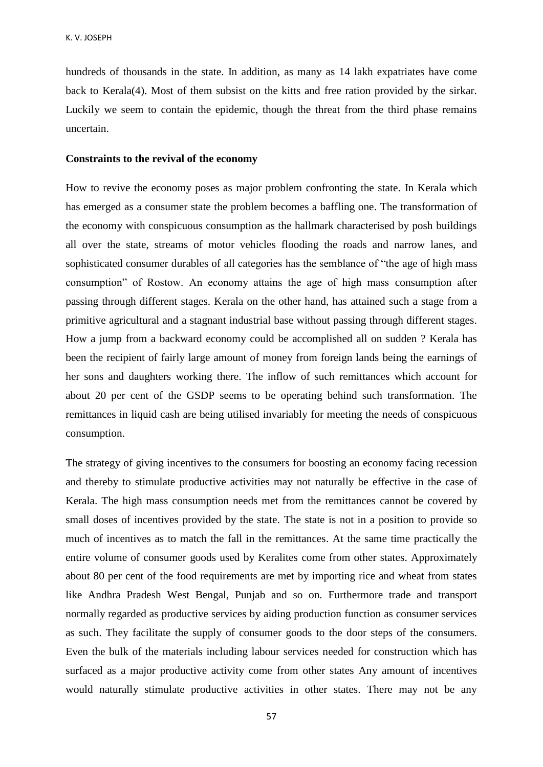hundreds of thousands in the state. In addition, as many as 14 lakh expatriates have come back to Kerala(4). Most of them subsist on the kitts and free ration provided by the sirkar. Luckily we seem to contain the epidemic, though the threat from the third phase remains uncertain.

#### **Constraints to the revival of the economy**

How to revive the economy poses as major problem confronting the state. In Kerala which has emerged as a consumer state the problem becomes a baffling one. The transformation of the economy with conspicuous consumption as the hallmark characterised by posh buildings all over the state, streams of motor vehicles flooding the roads and narrow lanes, and sophisticated consumer durables of all categories has the semblance of "the age of high mass consumption" of Rostow. An economy attains the age of high mass consumption after passing through different stages. Kerala on the other hand, has attained such a stage from a primitive agricultural and a stagnant industrial base without passing through different stages. How a jump from a backward economy could be accomplished all on sudden ? Kerala has been the recipient of fairly large amount of money from foreign lands being the earnings of her sons and daughters working there. The inflow of such remittances which account for about 20 per cent of the GSDP seems to be operating behind such transformation. The remittances in liquid cash are being utilised invariably for meeting the needs of conspicuous consumption.

The strategy of giving incentives to the consumers for boosting an economy facing recession and thereby to stimulate productive activities may not naturally be effective in the case of Kerala. The high mass consumption needs met from the remittances cannot be covered by small doses of incentives provided by the state. The state is not in a position to provide so much of incentives as to match the fall in the remittances. At the same time practically the entire volume of consumer goods used by Keralites come from other states. Approximately about 80 per cent of the food requirements are met by importing rice and wheat from states like Andhra Pradesh West Bengal, Punjab and so on. Furthermore trade and transport normally regarded as productive services by aiding production function as consumer services as such. They facilitate the supply of consumer goods to the door steps of the consumers. Even the bulk of the materials including labour services needed for construction which has surfaced as a major productive activity come from other states Any amount of incentives would naturally stimulate productive activities in other states. There may not be any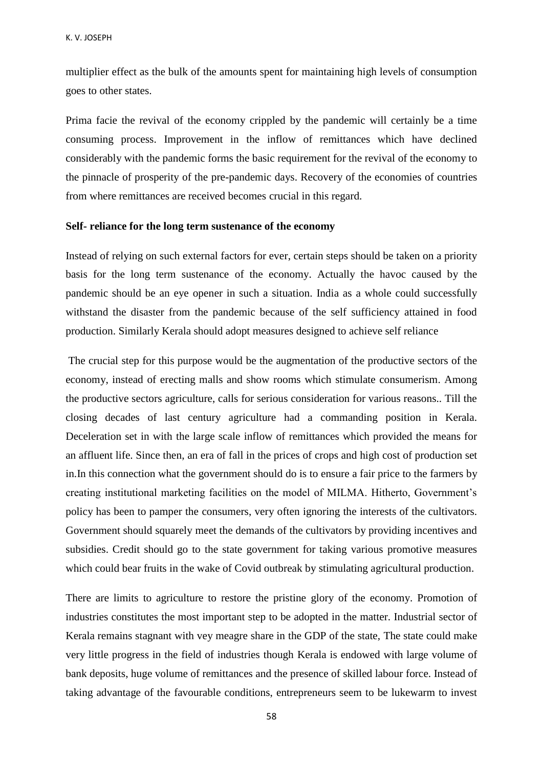multiplier effect as the bulk of the amounts spent for maintaining high levels of consumption goes to other states.

Prima facie the revival of the economy crippled by the pandemic will certainly be a time consuming process. Improvement in the inflow of remittances which have declined considerably with the pandemic forms the basic requirement for the revival of the economy to the pinnacle of prosperity of the pre-pandemic days. Recovery of the economies of countries from where remittances are received becomes crucial in this regard.

## **Self- reliance for the long term sustenance of the economy**

Instead of relying on such external factors for ever, certain steps should be taken on a priority basis for the long term sustenance of the economy. Actually the havoc caused by the pandemic should be an eye opener in such a situation. India as a whole could successfully withstand the disaster from the pandemic because of the self sufficiency attained in food production. Similarly Kerala should adopt measures designed to achieve self reliance

The crucial step for this purpose would be the augmentation of the productive sectors of the economy, instead of erecting malls and show rooms which stimulate consumerism. Among the productive sectors agriculture, calls for serious consideration for various reasons.. Till the closing decades of last century agriculture had a commanding position in Kerala. Deceleration set in with the large scale inflow of remittances which provided the means for an affluent life. Since then, an era of fall in the prices of crops and high cost of production set in.In this connection what the government should do is to ensure a fair price to the farmers by creating institutional marketing facilities on the model of MILMA. Hitherto, Government"s policy has been to pamper the consumers, very often ignoring the interests of the cultivators. Government should squarely meet the demands of the cultivators by providing incentives and subsidies. Credit should go to the state government for taking various promotive measures which could bear fruits in the wake of Covid outbreak by stimulating agricultural production.

There are limits to agriculture to restore the pristine glory of the economy. Promotion of industries constitutes the most important step to be adopted in the matter. Industrial sector of Kerala remains stagnant with vey meagre share in the GDP of the state, The state could make very little progress in the field of industries though Kerala is endowed with large volume of bank deposits, huge volume of remittances and the presence of skilled labour force. Instead of taking advantage of the favourable conditions, entrepreneurs seem to be lukewarm to invest